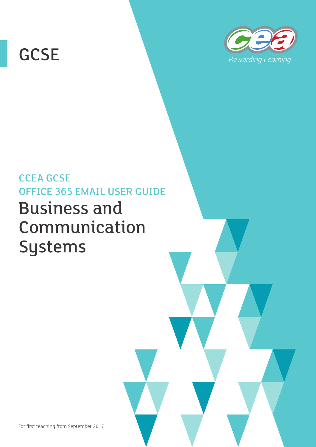# **GCSE**



## CCEA GCSE OFFICE 365 EMAIL USER GUIDE Business and Communication Systems

For first teaching from September 2017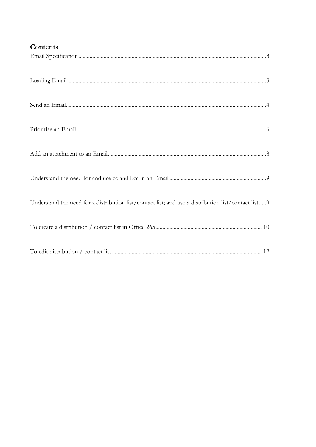| Contents                                                                                            |
|-----------------------------------------------------------------------------------------------------|
|                                                                                                     |
|                                                                                                     |
|                                                                                                     |
|                                                                                                     |
|                                                                                                     |
|                                                                                                     |
| Understand the need for a distribution list/contact list; and use a distribution list/contact list9 |
|                                                                                                     |
|                                                                                                     |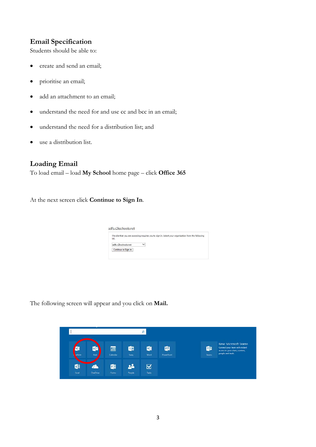## <span id="page-3-0"></span>**Email Specification**

Students should be able to:

- create and send an email;
- prioritise an email;
- add an attachment to an email;
- understand the need for and use cc and bcc in an email;
- understand the need for a distribution list; and
- use a distribution list.

### <span id="page-3-1"></span>**Loading Email**

To load email – load **My School** home page – click **Office 365**

At the next screen click **Continue to Sign In**.

| The site that you are accessing requires you to sign in. Select your organization from the following<br>list. |              |  |  |
|---------------------------------------------------------------------------------------------------------------|--------------|--|--|
| adfs.c2kschools.net                                                                                           | $\checkmark$ |  |  |
| Continue to Sign In                                                                                           |              |  |  |

The following screen will appear and you click on **Mail.**

|                   |                        |                      |            | q                    |                              |                      |                                                                                                               |
|-------------------|------------------------|----------------------|------------|----------------------|------------------------------|----------------------|---------------------------------------------------------------------------------------------------------------|
| M<br><b>wNote</b> | $\circ$ $\Box$<br>Mail | <b>e</b><br>Calendar | 63<br>Sway | W<br>Word            | P <sub>2</sub><br>PowerPoint | <b>Tii</b><br>Teams: | New: Microsoft Teams<br>Connect your team with instant<br>access to your chats, content,<br>people and tools. |
| K.<br>Excel       | A<br>OneDrive          | 酮<br>Forms           | People     | $\boxtimes$<br>Tasks |                              |                      |                                                                                                               |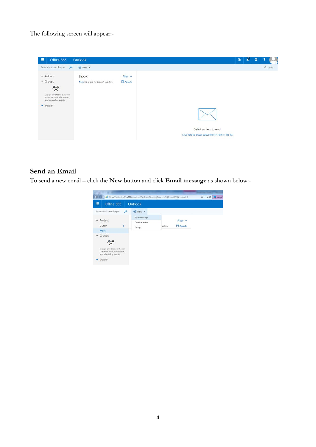The following screen will appear:-

| 冊<br>Office 365                                                                                                                                              | Outlook                                         |                    |                                                                                  | $\circledS$ | 부 | ۰ | ۰      |
|--------------------------------------------------------------------------------------------------------------------------------------------------------------|-------------------------------------------------|--------------------|----------------------------------------------------------------------------------|-------------|---|---|--------|
| Search Mail and People                                                                                                                                       | $\mathcal{L}$<br>⊕ New   V                      |                    |                                                                                  |             |   |   | 9 Undo |
| $\times$ Folders<br>$\land$ Groups<br>$R^8$<br>Groups give teams a shared<br>space for email, documents,<br>and scheduling events.<br>$\rightarrow$ Discover | Inbox<br>Next: No events for the next two days. | Filter v<br>Agenda |                                                                                  |             |   |   |        |
|                                                                                                                                                              |                                                 |                    | Select an item to read<br>Click here to always select the first item in the list |             |   |   |        |

#### **Send an Email**

To send a new email – click the **New** button and click **Email message** as shown below:-

<span id="page-4-0"></span>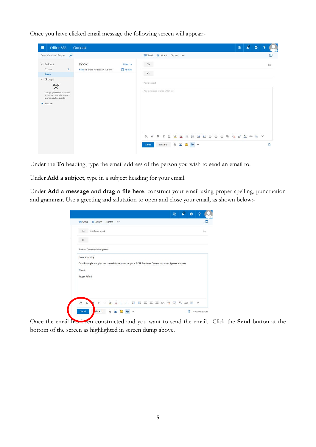Once you have clicked email message the following screen will appear:-

| 冊<br>Office 365                                                                                            |              | Outlook                                         |                    |                                |   |                                   |              |                         |               |                                         |  |  | $\circledS$ | A. | 券 |     |
|------------------------------------------------------------------------------------------------------------|--------------|-------------------------------------------------|--------------------|--------------------------------|---|-----------------------------------|--------------|-------------------------|---------------|-----------------------------------------|--|--|-------------|----|---|-----|
| Search Mail and People                                                                                     | $\mathbf{p}$ |                                                 |                    | Send                           |   |                                   |              | <b>B</b> Attach Discard |               |                                         |  |  |             |    |   | c   |
| $\land$ Folders<br>Clutter                                                                                 | $\mathbf{1}$ | Inbox<br>Next: No events for the next two days. | Filter v<br>Agenda | To                             |   |                                   |              |                         |               |                                         |  |  |             |    |   | Boc |
| More<br>$\land$ Groups                                                                                     |              |                                                 |                    | $\mathsf{Cc}$<br>Add a subject |   |                                   |              |                         |               |                                         |  |  |             |    |   |     |
| $R^8$<br>Groups give teams a shared<br>space for email, documents,<br>and scheduling events.<br>> Discover |              |                                                 |                    |                                |   | Add a message or drag a file here |              |                         |               |                                         |  |  |             |    |   |     |
|                                                                                                            |              |                                                 |                    | ĄĄ                             | A | $\mathbf{B}$                      | $\mathcal I$ | $\mathbb U$<br>$\Delta$ | 挂<br>$\Delta$ | <b>IE HE HE HE HE O Q X X X AK ME Y</b> |  |  |             |    |   |     |
|                                                                                                            |              |                                                 |                    | Send                           |   |                                   | Discard      | 0                       |               | $A \vee$                                |  |  |             |    |   | C)  |

Under the **To** heading, type the email address of the person you wish to send an email to.

Under **Add a subject**, type in a subject heading for your email.

Under **Add a message and drag a file here**, construct your email using proper spelling, punctuation and grammar. Use a greeting and salutation to open and close your email, as shown below:-

| To                                                                                           | info@ccea.org.uk                      |  |  |  |  |  |  |  | <b>Bcc</b> |
|----------------------------------------------------------------------------------------------|---------------------------------------|--|--|--|--|--|--|--|------------|
| $\mathsf{Cc}$                                                                                |                                       |  |  |  |  |  |  |  |            |
|                                                                                              | <b>Business Communciation Systems</b> |  |  |  |  |  |  |  |            |
|                                                                                              |                                       |  |  |  |  |  |  |  |            |
| Good morning                                                                                 |                                       |  |  |  |  |  |  |  |            |
| Could you please give me some information on your GCSE Business Communication System Course. |                                       |  |  |  |  |  |  |  |            |
| Thanks                                                                                       |                                       |  |  |  |  |  |  |  |            |
| Roger Robin                                                                                  |                                       |  |  |  |  |  |  |  |            |
|                                                                                              |                                       |  |  |  |  |  |  |  |            |
|                                                                                              |                                       |  |  |  |  |  |  |  |            |

Once the email has been constructed and you want to send the email. Click the **Send** button at the bottom of the screen as highlighted in screen dump above.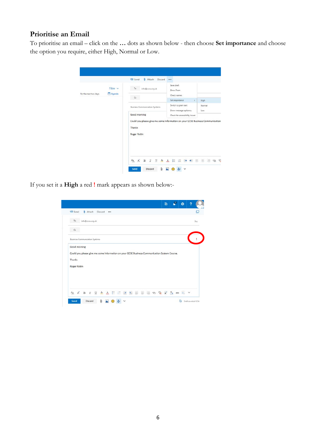## <span id="page-6-0"></span>**Prioritise an Email**

To prioritise an email – click on the **…** dots as shown below - then choose **Set importance** and choose the option you require, either High, Normal or Low.

|                        |                    | Send<br>Attach<br>Discard                                                     | $\cdots$                               |                        |
|------------------------|--------------------|-------------------------------------------------------------------------------|----------------------------------------|------------------------|
| for the next two days. | Filter v<br>Agenda | To<br>info@ccea.org.uk                                                        | Save draft<br>Show From                |                        |
|                        |                    | Cc                                                                            | Check names                            |                        |
|                        |                    |                                                                               | Set importance<br>Switch to plain text | High<br>$\,$<br>Normal |
|                        |                    | <b>Business Communciation Systems</b>                                         | Show message options                   | Low.                   |
|                        |                    | Good morning                                                                  | Check for accessibility issues         |                        |
|                        |                    |                                                                               |                                        |                        |
|                        |                    | Could you please give me some information on your GCSE Business Communication |                                        |                        |
|                        |                    | Thanks                                                                        |                                        |                        |
|                        |                    | Roger Robin                                                                   |                                        |                        |
|                        |                    |                                                                               |                                        |                        |
|                        |                    |                                                                               |                                        |                        |
|                        |                    |                                                                               |                                        |                        |
|                        |                    | $A$ $A$ $B$<br>$A^2$ $A$<br>U<br>$\tau$                                       | 油油 35 第 第 三 三 三                        | €<br>G                 |

If you set it a **High** a red **!** mark appears as shown below:-

| <b>B</b> Attach Discard<br><b>E</b> Send                                                     |  |  |  |  |  |   |     |
|----------------------------------------------------------------------------------------------|--|--|--|--|--|---|-----|
| To<br>info@ccea.org.uk                                                                       |  |  |  |  |  |   | Boc |
| c                                                                                            |  |  |  |  |  |   |     |
| <b>Business Communciation Systems</b>                                                        |  |  |  |  |  |   |     |
|                                                                                              |  |  |  |  |  |   |     |
| Good morning                                                                                 |  |  |  |  |  |   |     |
| Could you please give me some information on your GCSE Business Communication System Course. |  |  |  |  |  |   |     |
| <b>Thanks</b>                                                                                |  |  |  |  |  |   |     |
| Roger Robin                                                                                  |  |  |  |  |  |   |     |
|                                                                                              |  |  |  |  |  |   |     |
|                                                                                              |  |  |  |  |  |   |     |
|                                                                                              |  |  |  |  |  |   |     |
| <b>A A B I U &amp; A E E E E E E E E @ Q F A &amp; E</b>                                     |  |  |  |  |  | v |     |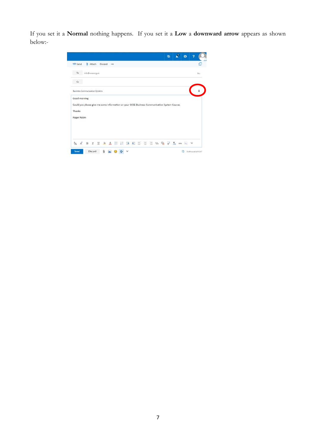<span id="page-7-0"></span>If you set it a **Normal** nothing happens. If you set it a **Low** a **downward arrow** appears as shown below:-

|                           | <b>B</b> Attach |                |                                                           |   |   |  |         |   |       |                     |  |                                                                                              |   |            |
|---------------------------|-----------------|----------------|-----------------------------------------------------------|---|---|--|---------|---|-------|---------------------|--|----------------------------------------------------------------------------------------------|---|------------|
|                           |                 | Discard        |                                                           |   |   |  |         |   |       |                     |  |                                                                                              |   |            |
|                           |                 |                |                                                           |   |   |  |         |   |       |                     |  |                                                                                              |   | <b>Rcc</b> |
|                           |                 |                |                                                           |   |   |  |         |   |       |                     |  |                                                                                              |   |            |
|                           |                 |                |                                                           |   |   |  |         |   |       |                     |  |                                                                                              |   |            |
| Roger Robin               |                 |                |                                                           |   |   |  |         |   |       |                     |  |                                                                                              |   |            |
| $\Lambda$<br>$\, {\bf B}$ | $\mathcal I$    | $\overline{u}$ | $A^2$ $A$                                                 | 旧 | 狂 |  | ※ ※ 三 三 | 注 | $-20$ | $X^2$ $X_2$ abe $A$ |  |                                                                                              | v |            |
|                           | Good morning    |                | info@ccea.org.uk<br><b>Business Communciation Systems</b> |   |   |  |         |   |       |                     |  | Could you please give me some information on your GCSE Business Communication System Course. |   |            |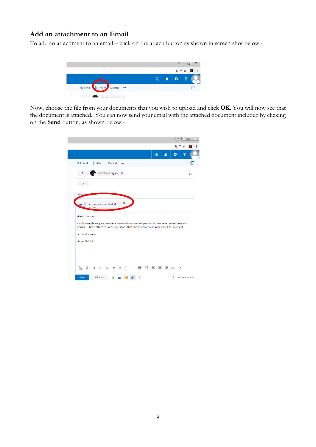#### **Add an attachment to an Email**

To add an attachment to an email – click on the attach button as shown in screen shot below:-



Now, choose the file from your documents that you wish to upload and click **OK**. You will now see that the document is attached. You can now send your email with the attached document included by clicking on the **Send** button, as shown below:-

|                                                                                                                                                                                                                |                 |                        |         |   |  |             |   | <b>G</b> 7<br>☆ | 人   |
|----------------------------------------------------------------------------------------------------------------------------------------------------------------------------------------------------------------|-----------------|------------------------|---------|---|--|-------------|---|-----------------|-----|
|                                                                                                                                                                                                                |                 |                        |         |   |  | $\circledS$ | Ö |                 |     |
| ₹⊠ Send                                                                                                                                                                                                        | <b>Q</b> Attach |                        | Discard |   |  |             |   |                 |     |
| To                                                                                                                                                                                                             |                 | info@ccea.org.uk x     |         |   |  |             |   |                 | Bcc |
| C <sub>C</sub>                                                                                                                                                                                                 |                 |                        |         |   |  |             |   |                 |     |
| informati                                                                                                                                                                                                      |                 |                        |         |   |  |             |   |                 | Ţ   |
|                                                                                                                                                                                                                | 857 KB          | communication draft.do |         | × |  |             |   |                 |     |
|                                                                                                                                                                                                                |                 |                        |         |   |  |             |   |                 |     |
|                                                                                                                                                                                                                |                 |                        |         |   |  |             |   |                 |     |
| Good morning<br>Could you please give me some more information on your GCSE Business Communication<br>course. I have attached some questions that i hope you can answer about this subject.<br>yours sincerely |                 |                        |         |   |  |             |   |                 |     |
| Roger Rabbit                                                                                                                                                                                                   |                 |                        |         |   |  |             |   |                 |     |
|                                                                                                                                                                                                                |                 |                        |         |   |  |             |   |                 |     |
|                                                                                                                                                                                                                |                 |                        |         |   |  |             |   |                 |     |
| $A_{A}$ $A^{*}$                                                                                                                                                                                                | $_{\rm B}$      |                        |         |   |  |             |   |                 |     |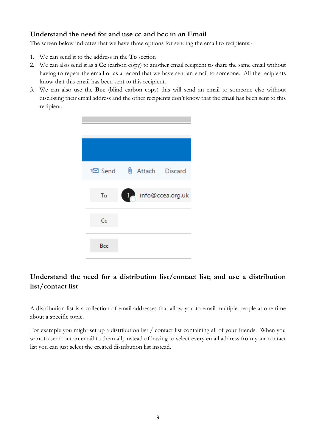## <span id="page-9-0"></span>**Understand the need for and use cc and bcc in an Email**

The screen below indicates that we have three options for sending the email to recipients:-

- 1. We can send it to the address in the **To** section
- 2. We can also send it as a **Cc** (carbon copy) to another email recipient to share the same email without having to repeat the email or as a record that we have sent an email to someone. All the recipients know that this email has been sent to this recipient.
- 3. We can also use the **Bcc** (blind carbon copy) this will send an email to someone else without disclosing their email address and the other recipients don't know that the email has been sent to this recipient.

|     | ₹29 Send <sup>0</sup> Attach Discard |
|-----|--------------------------------------|
| To  | $\blacksquare$<br>info@ccea.org.uk   |
| Cc  |                                      |
| Bcc |                                      |

## <span id="page-9-1"></span>**Understand the need for a distribution list/contact list; and use a distribution list/contact list**

A distribution list is a collection of email addresses that allow you to email multiple people at one time about a specific topic.

For example you might set up a distribution list / contact list containing all of your friends. When you want to send out an email to them all, instead of having to select every email address from your contact list you can just select the created distribution list instead.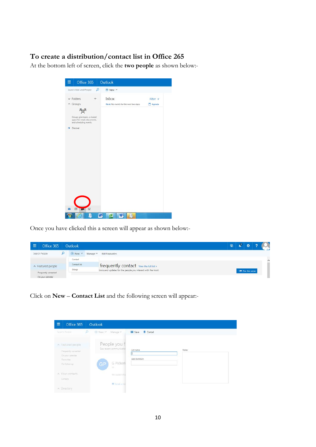## <span id="page-10-0"></span>**To create a distribution/contact list in Office 265**

At the bottom left of screen, click the **two people** as shown below:-

| 摄 | Office 365                                                                          |     | Outlook                                |          |
|---|-------------------------------------------------------------------------------------|-----|----------------------------------------|----------|
|   | Search Mail and People                                                              | ρ   | ⊕ New   ∨                              |          |
|   | $\vee$ Folders                                                                      | $+$ | Inbox                                  | Filter v |
|   | $\land$ Groups                                                                      |     | Next: No events for the next two days. | Agenda   |
|   |                                                                                     |     |                                        |          |
|   | Groups give teams a shared<br>space for email, documents,<br>and scheduling events. |     |                                        |          |
|   | Discover                                                                            |     |                                        |          |
|   |                                                                                     |     |                                        |          |
|   |                                                                                     |     |                                        |          |
|   |                                                                                     |     |                                        |          |
|   |                                                                                     |     |                                        |          |
|   |                                                                                     |     |                                        |          |
|   |                                                                                     |     |                                        |          |
|   |                                                                                     |     |                                        |          |
|   |                                                                                     |     |                                        |          |
|   |                                                                                     |     |                                        |          |
|   |                                                                                     |     |                                        |          |
|   |                                                                                     |     |                                        |          |
|   |                                                                                     |     |                                        |          |
|   |                                                                                     |     |                                        |          |
|   |                                                                                     |     |                                        |          |

Once you have clicked this a screen will appear as shown below:-

| 僵 | Office 365           | Outlook                |          |                                                              | (මු | đ.                     |          |
|---|----------------------|------------------------|----------|--------------------------------------------------------------|-----|------------------------|----------|
|   | Search People        | $\bigoplus$ New $\vee$ | Manage V | <b>Edit Favourites</b>                                       |     |                        |          |
|   |                      | Contact                |          |                                                              |     |                        | $\wedge$ |
|   | A Featured people    | Contact list           |          | frequently contact View the full list >                      |     |                        |          |
|   | Frequently contacted | Group                  |          | tions and updates for the people you interact with the most. |     | <b>+ Pin this view</b> |          |
|   | On your calendar     |                        |          |                                                              |     |                        |          |

Click on **New** – **Contact List** and the following screen will appear:-

| 冊 | Office 365                                      |   | Outlook   |                                          |                                  |                    |  |
|---|-------------------------------------------------|---|-----------|------------------------------------------|----------------------------------|--------------------|--|
|   | Search People                                   | Ю | ⊕ New   V | Manage V                                 | <b>H</b> Save<br><b>f</b> Cancel |                    |  |
|   | A Featured people<br>Frequently contacted       |   |           | People you f<br>See recent communication | List name                        | Notes <sup>:</sup> |  |
|   | On your calendar<br>Favourites<br>For follow-up |   | GP        | G Pickeri<br>Mr                          | Add members                      |                    |  |
|   | A Your contacts<br>Contacti                     |   |           | We couldn't fini                         |                                  |                    |  |
|   | > Directory                                     |   |           | Send a min                               |                                  |                    |  |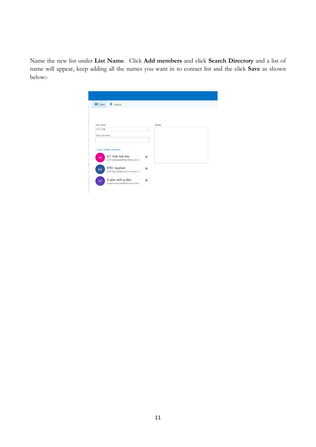Name the new list under **List Name**. Click **Add members** and click **Search Directory** and a list of name will appear, keep adding all the names you want in to contact list and the click **Save** as shown below:-

|                    | <b>H</b> Save 面 Cancel                                     |                           |              |  |
|--------------------|------------------------------------------------------------|---------------------------|--------------|--|
|                    |                                                            |                           |              |  |
|                    |                                                            |                           |              |  |
| List name          |                                                            |                           | <b>Notes</b> |  |
| <b>BCS Test</b>    |                                                            |                           |              |  |
| <b>Add members</b> |                                                            |                           |              |  |
|                    |                                                            |                           |              |  |
|                    |                                                            |                           |              |  |
|                    |                                                            |                           |              |  |
|                    | 3 newly added members                                      |                           |              |  |
|                    |                                                            |                           |              |  |
| IH.                | <b>ICT Hub test site</b><br>ICTHubtestsite@ennilive.onmicr | $\boldsymbol{\mathsf{x}}$ |              |  |
|                    |                                                            |                           |              |  |
| BA                 | <b>BTEC Applied</b>                                        | $\boldsymbol{\mathsf{x}}$ |              |  |
|                    | BTECApplied@ennilive.onmicro:                              |                           |              |  |